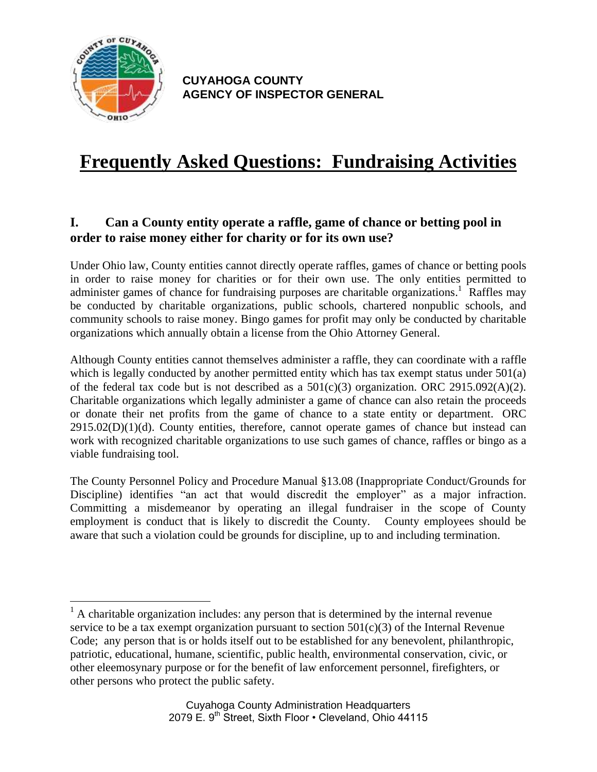

 $\overline{a}$ 

**CUYAHOGA COUNTY AGENCY OF INSPECTOR GENERAL**

# **Frequently Asked Questions: Fundraising Activities**

#### **I. Can a County entity operate a raffle, game of chance or betting pool in order to raise money either for charity or for its own use?**

Under Ohio law, County entities cannot directly operate raffles, games of chance or betting pools in order to raise money for charities or for their own use. The only entities permitted to administer games of chance for fundraising purposes are charitable organizations.<sup>1</sup> Raffles may be conducted by charitable organizations, public schools, chartered nonpublic schools, and community schools to raise money. Bingo games for profit may only be conducted by charitable organizations which annually obtain a license from the Ohio Attorney General.

Although County entities cannot themselves administer a raffle, they can coordinate with a raffle which is legally conducted by another permitted entity which has tax exempt status under 501(a) of the federal tax code but is not described as a  $501(c)(3)$  organization. ORC 2915.092(A)(2). Charitable organizations which legally administer a game of chance can also retain the proceeds or donate their net profits from the game of chance to a state entity or department. ORC  $2915.02(D)(1)(d)$ . County entities, therefore, cannot operate games of chance but instead can work with recognized charitable organizations to use such games of chance, raffles or bingo as a viable fundraising tool.

The County Personnel Policy and Procedure Manual §13.08 (Inappropriate Conduct/Grounds for Discipline) identifies "an act that would discredit the employer" as a major infraction. Committing a misdemeanor by operating an illegal fundraiser in the scope of County employment is conduct that is likely to discredit the County. County employees should be aware that such a violation could be grounds for discipline, up to and including termination.

 $<sup>1</sup>$  A charitable organization includes: any person that is determined by the internal revenue</sup> service to be a tax exempt organization pursuant to section  $501(c)(3)$  of the Internal Revenue Code; any person that is or holds itself out to be established for any benevolent, philanthropic, patriotic, educational, humane, scientific, public health, environmental conservation, civic, or other eleemosynary purpose or for the benefit of law enforcement personnel, firefighters, or other persons who protect the public safety.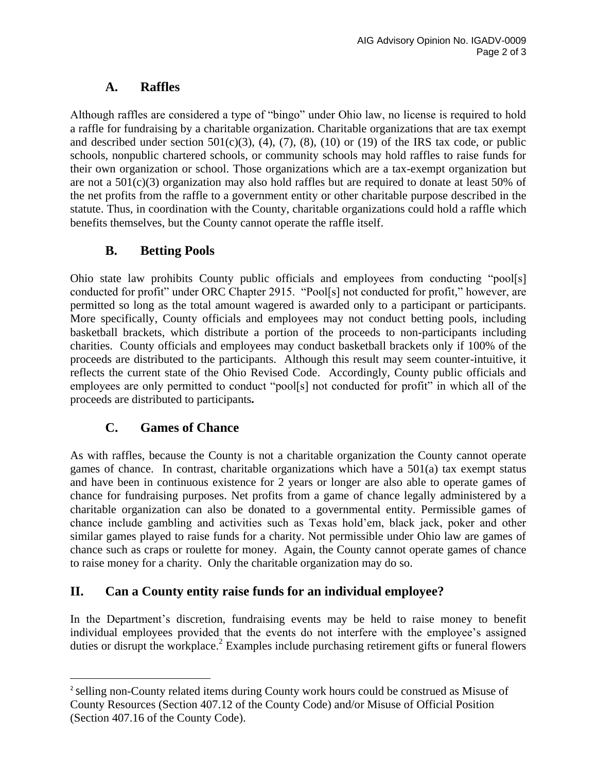### **A. Raffles**

Although raffles are considered a type of "bingo" under Ohio law, no license is required to hold a raffle for fundraising by a charitable organization. Charitable organizations that are tax exempt and described under section  $501(c)(3)$ ,  $(4)$ ,  $(7)$ ,  $(8)$ ,  $(10)$  or  $(19)$  of the IRS tax code, or public schools, nonpublic chartered schools, or community schools may hold raffles to raise funds for their own organization or school. Those organizations which are a tax-exempt organization but are not a 501(c)(3) organization may also hold raffles but are required to donate at least 50% of the net profits from the raffle to a government entity or other charitable purpose described in the statute. Thus, in coordination with the County, charitable organizations could hold a raffle which benefits themselves, but the County cannot operate the raffle itself.

## **B. Betting Pools**

Ohio state law prohibits County public officials and employees from conducting "pool[s] conducted for profit" under ORC Chapter 2915. "Pool[s] not conducted for profit," however, are permitted so long as the total amount wagered is awarded only to a participant or participants. More specifically, County officials and employees may not conduct betting pools, including basketball brackets, which distribute a portion of the proceeds to non-participants including charities. County officials and employees may conduct basketball brackets only if 100% of the proceeds are distributed to the participants. Although this result may seem counter-intuitive, it reflects the current state of the Ohio Revised Code. Accordingly, County public officials and employees are only permitted to conduct "pool[s] not conducted for profit" in which all of the proceeds are distributed to participants*.*

## **C. Games of Chance**

 $\overline{a}$ 

As with raffles, because the County is not a charitable organization the County cannot operate games of chance. In contrast, charitable organizations which have a  $501(a)$  tax exempt status and have been in continuous existence for 2 years or longer are also able to operate games of chance for fundraising purposes. Net profits from a game of chance legally administered by a charitable organization can also be donated to a governmental entity. Permissible games of chance include gambling and activities such as Texas hold'em, black jack, poker and other similar games played to raise funds for a charity. Not permissible under Ohio law are games of chance such as craps or roulette for money. Again, the County cannot operate games of chance to raise money for a charity. Only the charitable organization may do so.

# **II. Can a County entity raise funds for an individual employee?**

In the Department's discretion, fundraising events may be held to raise money to benefit individual employees provided that the events do not interfere with the employee's assigned duties or disrupt the workplace.<sup>2</sup> Examples include purchasing retirement gifts or funeral flowers

<sup>&</sup>lt;sup>2</sup> selling non-County related items during County work hours could be construed as Misuse of County Resources (Section 407.12 of the County Code) and/or Misuse of Official Position (Section 407.16 of the County Code).